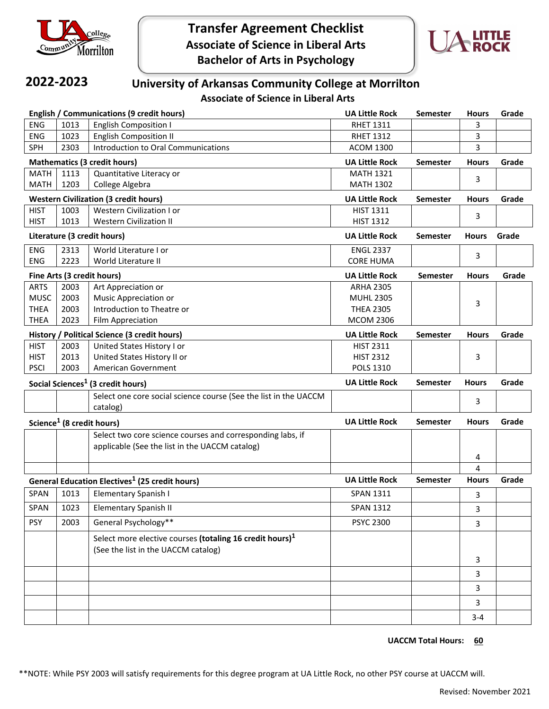

**Transfer Agreement Checklist Associate of Science in Liberal Arts Bachelor of Arts in Psychology**



## **2022-2023**

## **University of Arkansas Community College at Morrilton**

**Associate of Science in Liberal Arts**

| <b>English / Communications (9 credit hours)</b>                 |      |                                                                      | <b>UA Little Rock</b> | <b>Semester</b> | <b>Hours</b> | Grade |
|------------------------------------------------------------------|------|----------------------------------------------------------------------|-----------------------|-----------------|--------------|-------|
| <b>ENG</b>                                                       | 1013 | <b>English Composition I</b>                                         | <b>RHET 1311</b>      |                 | 3            |       |
| <b>ENG</b>                                                       | 1023 | <b>English Composition II</b>                                        | <b>RHET 1312</b>      |                 | 3            |       |
| <b>SPH</b>                                                       | 2303 | Introduction to Oral Communications                                  | <b>ACOM 1300</b>      |                 | 3            |       |
| <b>Mathematics (3 credit hours)</b>                              |      |                                                                      | <b>UA Little Rock</b> | <b>Semester</b> | <b>Hours</b> | Grade |
| <b>MATH</b>                                                      | 1113 | Quantitative Literacy or                                             | <b>MATH 1321</b>      |                 | 3            |       |
| <b>MATH</b>                                                      | 1203 | College Algebra                                                      | <b>MATH 1302</b>      |                 |              |       |
| <b>Western Civilization (3 credit hours)</b>                     |      | <b>UA Little Rock</b>                                                | <b>Semester</b>       | <b>Hours</b>    | Grade        |       |
| <b>HIST</b>                                                      | 1003 | Western Civilization I or                                            | <b>HIST 1311</b>      |                 | 3            |       |
| <b>HIST</b>                                                      | 1013 | <b>Western Civilization II</b>                                       | <b>HIST 1312</b>      |                 |              |       |
| Literature (3 credit hours)                                      |      |                                                                      | <b>UA Little Rock</b> | <b>Semester</b> | <b>Hours</b> | Grade |
| ENG                                                              | 2313 | World Literature I or                                                | <b>ENGL 2337</b>      |                 |              |       |
| <b>ENG</b>                                                       | 2223 | World Literature II                                                  | <b>CORE HUMA</b>      |                 | 3            |       |
| Fine Arts (3 credit hours)                                       |      |                                                                      | <b>UA Little Rock</b> | <b>Semester</b> | <b>Hours</b> | Grade |
| <b>ARTS</b>                                                      | 2003 | Art Appreciation or                                                  | <b>ARHA 2305</b>      |                 |              |       |
| <b>MUSC</b>                                                      | 2003 | Music Appreciation or                                                | <b>MUHL 2305</b>      |                 | 3            |       |
| <b>THEA</b>                                                      | 2003 | Introduction to Theatre or                                           | <b>THEA 2305</b>      |                 |              |       |
| <b>THEA</b>                                                      | 2023 | Film Appreciation                                                    | <b>MCOM 2306</b>      |                 |              |       |
| History / Political Science (3 credit hours)                     |      |                                                                      | <b>UA Little Rock</b> | <b>Semester</b> | <b>Hours</b> | Grade |
| <b>HIST</b>                                                      | 2003 | United States History I or                                           | <b>HIST 2311</b>      |                 |              |       |
| <b>HIST</b>                                                      | 2013 | United States History II or                                          | <b>HIST 2312</b>      |                 | 3            |       |
| <b>PSCI</b>                                                      | 2003 | American Government                                                  | <b>POLS 1310</b>      |                 |              |       |
| Social Sciences <sup>1</sup> (3 credit hours)                    |      |                                                                      | <b>UA Little Rock</b> | <b>Semester</b> | <b>Hours</b> | Grade |
|                                                                  |      | Select one core social science course (See the list in the UACCM     |                       |                 | 3            |       |
|                                                                  |      | catalog)                                                             |                       |                 |              |       |
| Science <sup>1</sup> (8 credit hours)                            |      |                                                                      | <b>UA Little Rock</b> | <b>Semester</b> | <b>Hours</b> | Grade |
|                                                                  |      | Select two core science courses and corresponding labs, if           |                       |                 |              |       |
|                                                                  |      | applicable (See the list in the UACCM catalog)                       |                       |                 |              |       |
|                                                                  |      |                                                                      |                       |                 | 4            |       |
|                                                                  |      |                                                                      |                       |                 | 4            |       |
| <b>General Education Electives<sup>1</sup></b> (25 credit hours) |      |                                                                      | <b>UA Little Rock</b> | <b>Semester</b> | <b>Hours</b> | Grade |
| <b>SPAN</b>                                                      | 1013 | Elementary Spanish I                                                 | <b>SPAN 1311</b>      |                 | 3            |       |
| SPAN                                                             | 1023 | Elementary Spanish II                                                | SPAN 1312             |                 | 3            |       |
| <b>PSY</b>                                                       | 2003 | General Psychology**                                                 | <b>PSYC 2300</b>      |                 | 3            |       |
|                                                                  |      | Select more elective courses (totaling 16 credit hours) <sup>1</sup> |                       |                 |              |       |
|                                                                  |      | (See the list in the UACCM catalog)                                  |                       |                 |              |       |
|                                                                  |      |                                                                      |                       |                 | 3            |       |
|                                                                  |      |                                                                      |                       |                 | $\mathbf{3}$ |       |
|                                                                  |      |                                                                      |                       |                 | 3            |       |
|                                                                  |      |                                                                      |                       |                 | 3            |       |
|                                                                  |      |                                                                      |                       |                 | $3 - 4$      |       |

**UACCM Total Hours: 60**

\*\*NOTE: While PSY 2003 will satisfy requirements for this degree program at UA Little Rock, no other PSY course at UACCM will.